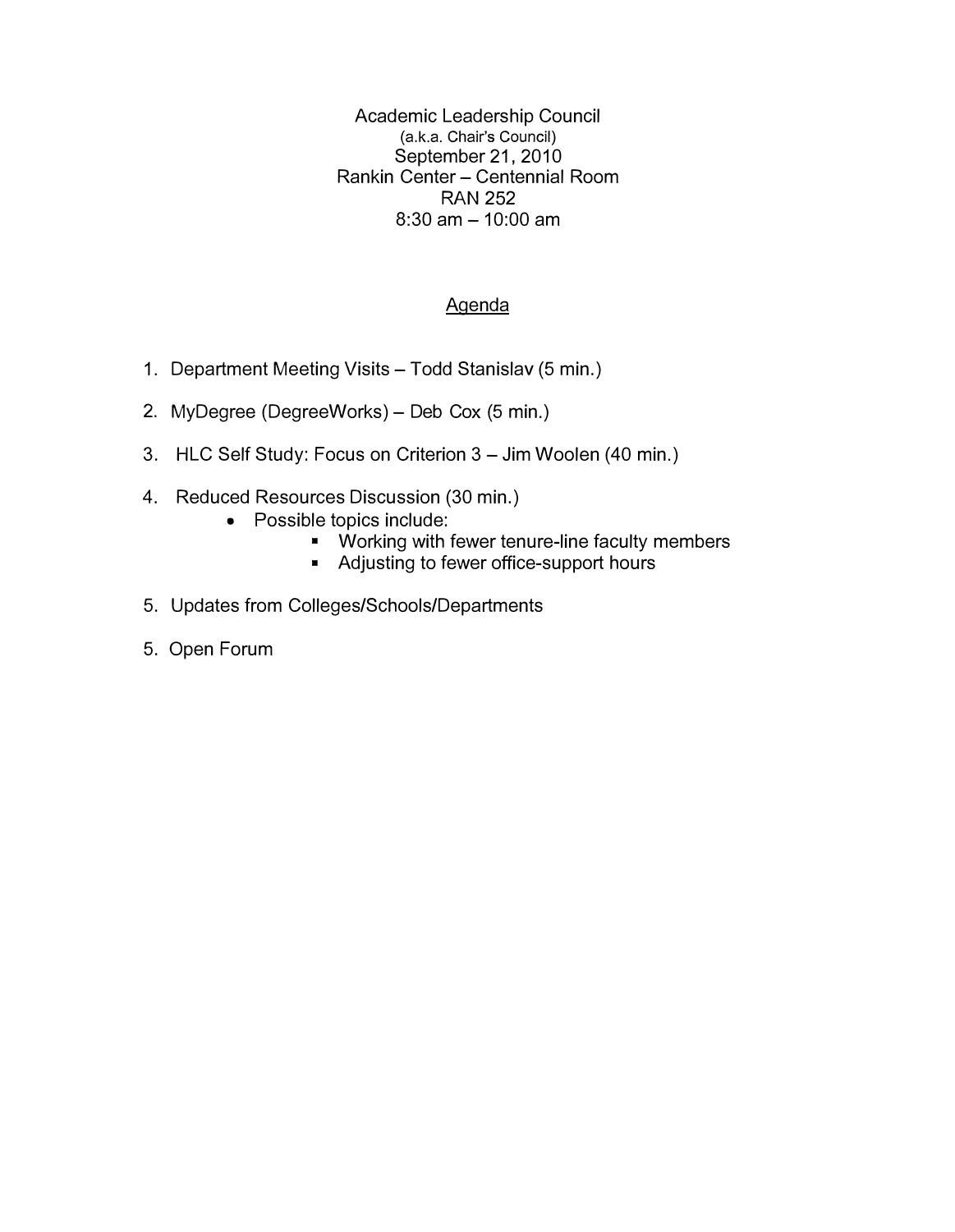Academic Leadership Council (a.k.a. Chair's Council) September 21, 2010 Rankin Center - Centennial Room **RAN 252**   $8:30$  am  $-10:00$  am

### Agenda

- 1. Department Meeting Visits Todd Stanislav (5 min.)
- 2. MyDegree (DegreeWorks) Deb Cox (5 min.)
- 3. HLC Self Study: Focus on Criterion 3 Jim Woolen (40 min.)
- 4. Reduced Resources Discussion (30 min.)
	- Possible topics include:
		- Working with fewer tenure-line faculty members
		- Adjusting to fewer office-support hours
- 5. Updates from Colleges/Schools/Departments
- 5. Open Forum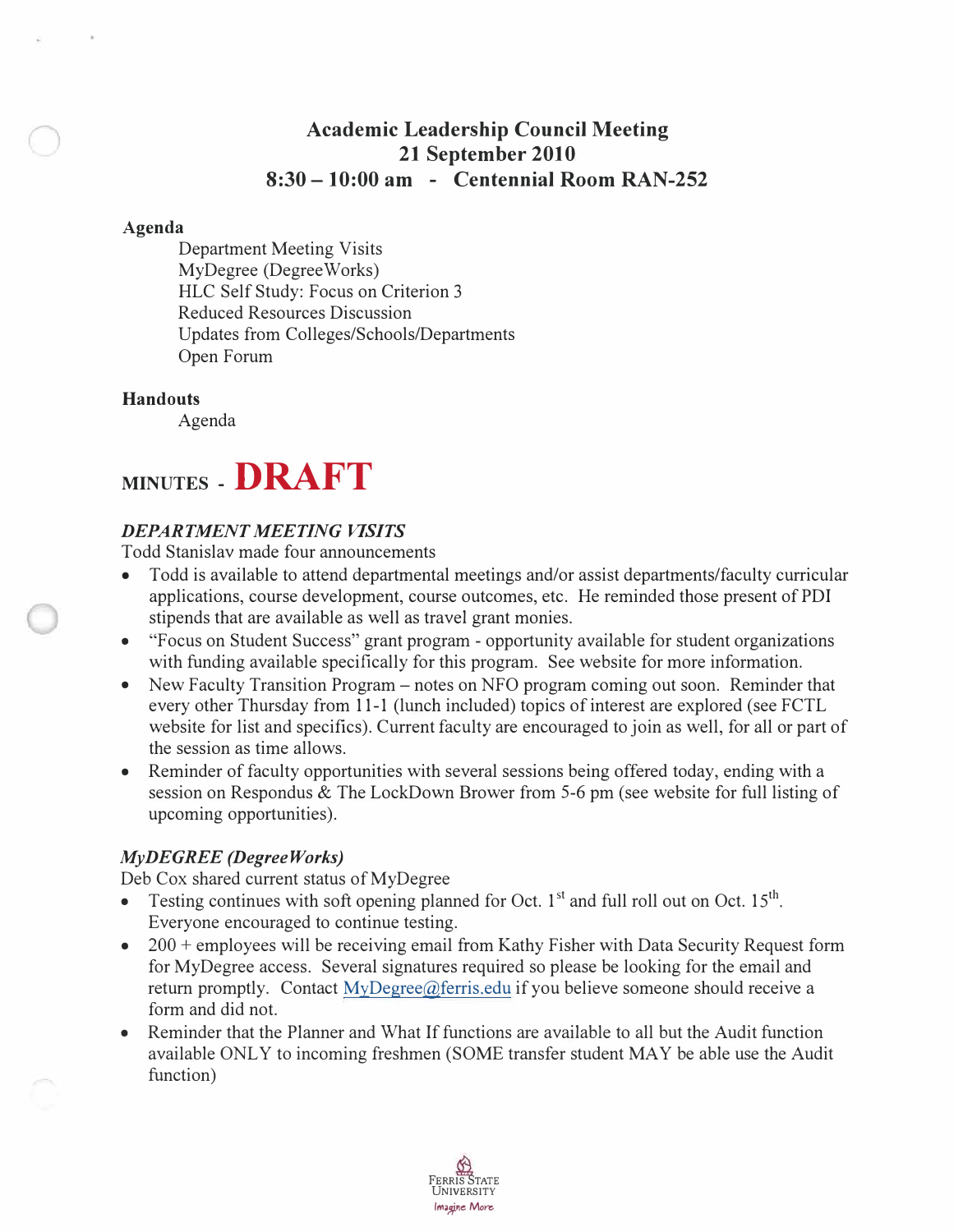# **Academic Leadership Council Meeting 21 September 2010 8:30 - 10:00 am - Centennial Room RAN-252**

#### **Agenda**

Department Meeting Visits MyDegree (DegreeWorks) HLC Self Study: Focus on Criterion 3 Reduced Resources Discussion Updates from Colleges/Schools/Departments Open Forum

### **Handouts**

Agenda

# **MINUTES - DRAFT**

### *DEPARTMENT MEETING VISITS*

Todd Stanislav made four announcements

- Todd is available to attend departmental meetings and/or assist departments/faculty curricular applications, course development, course outcomes, etc. He reminded those present of PDI stipends that are available as well as travel grant monies.
- "Focus on Student Success" grant program opportunity available for student organizations with funding available specifically for this program. See website for more information.
- New Faculty Transition Program notes on NFO program coming out soon. Reminder that every other Thursday from 11-1 (lunch included) topics of interest are explored (see FCTL website for list and specifics). Current faculty are encouraged to join as well, for all or part of the session as time allows.
- Reminder of faculty opportunities with several sessions being offered today, ending with a session on Respondus & The LockDown Brower from 5-6 pm (see website for full listing of upcoming opportunities).

### *MyDEGREE (DegreeWorks)*

Deb Cox shared current status of MyDegree

- Testing continues with soft opening planned for Oct.  $1<sup>st</sup>$  and full roll out on Oct.  $15<sup>th</sup>$ . Everyone encouraged to continue testing.
- 200 + employees will be receiving email from Kathy Fisher with Data Security Request form for MyDegree access. Several signatures required so please be looking for the email and return promptly. Contact [MyDegree@ferris.edu](mailto:MyDegree@ferris.edu) if you believe someone should receive a form and did not.
- Reminder that the Planner and What If functions are available to all but the Audit function available ONLY to incoming freshmen (SOME transfer student MAY be able use the Audit function)